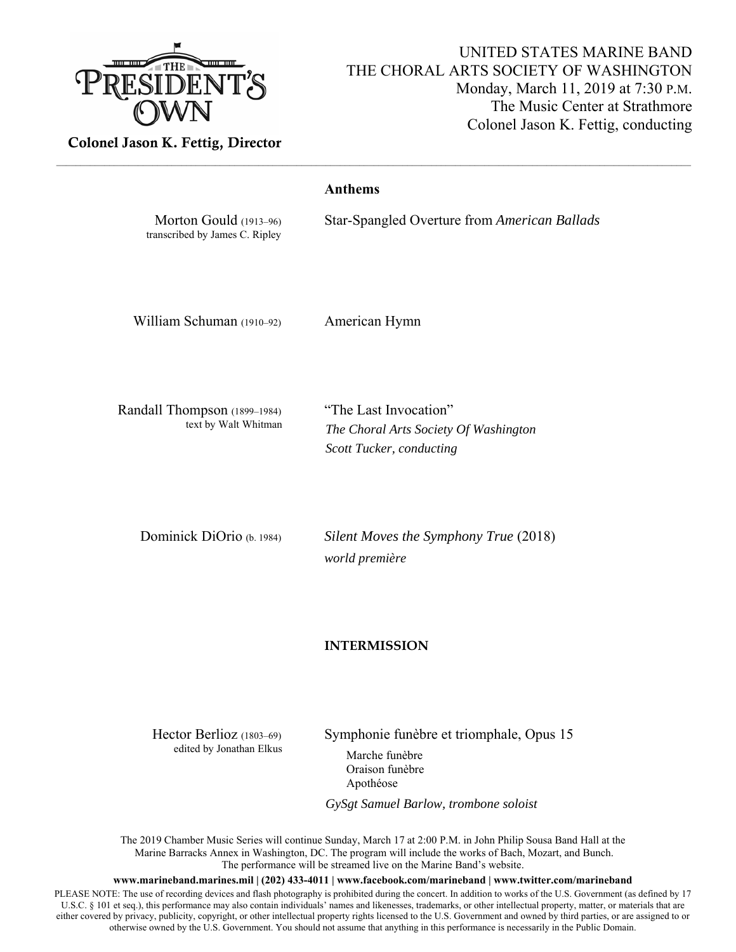

## UNITED STATES MARINE BAND THE CHORAL ARTS SOCIETY OF WASHINGTON Monday, March 11, 2019 at 7:30 P.M. The Music Center at Strathmore Colonel Jason K. Fettig, conducting

Colonel Jason K. Fettig, Director

| Morton Gould (1913-96)<br>transcribed by James C. Ripley | <b>Anthems</b><br>Star-Spangled Overture from American Ballads                             |
|----------------------------------------------------------|--------------------------------------------------------------------------------------------|
| William Schuman (1910-92)                                | American Hymn                                                                              |
| Randall Thompson (1899-1984)<br>text by Walt Whitman     | "The Last Invocation"<br>The Choral Arts Society Of Washington<br>Scott Tucker, conducting |
| Dominick DiOrio (b. 1984)                                | Silent Moves the Symphony True (2018)<br>world première                                    |

## **INTERMISSION**

edited by Jonathan Elkus Marche funèbre

Hector Berlioz (1803–69) Symphonie funèbre et triomphale, Opus 15

Oraison funèbre Apothéose

*GySgt Samuel Barlow, trombone soloist* 

The 2019 Chamber Music Series will continue Sunday, March 17 at 2:00 P.M. in John Philip Sousa Band Hall at the Marine Barracks Annex in Washington, DC. The program will include the works of Bach, Mozart, and Bunch. The performance will be streamed live on the Marine Band's website.

**www.marineband.marines.mil | (202) 433-4011 | www.facebook.com/marineband | www.twitter.com/marineband** 

PLEASE NOTE: The use of recording devices and flash photography is prohibited during the concert. In addition to works of the U.S. Government (as defined by 17 U.S.C. § 101 et seq.), this performance may also contain individuals' names and likenesses, trademarks, or other intellectual property, matter, or materials that are either covered by privacy, publicity, copyright, or other intellectual property rights licensed to the U.S. Government and owned by third parties, or are assigned to or otherwise owned by the U.S. Government. You should not assume that anything in this performance is necessarily in the Public Domain.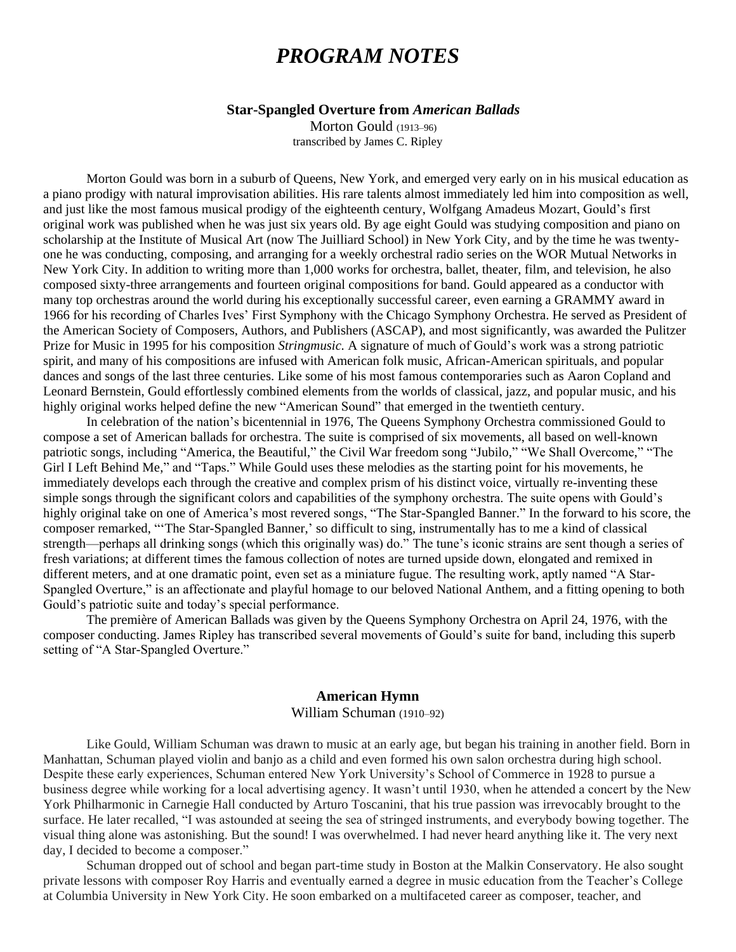# *PROGRAM NOTES*

## **Star-Spangled Overture from** *American Ballads*

Morton Gould (1913–96) transcribed by James C. Ripley

Morton Gould was born in a suburb of Queens, New York, and emerged very early on in his musical education as a piano prodigy with natural improvisation abilities. His rare talents almost immediately led him into composition as well, and just like the most famous musical prodigy of the eighteenth century, Wolfgang Amadeus Mozart, Gould's first original work was published when he was just six years old. By age eight Gould was studying composition and piano on scholarship at the Institute of Musical Art (now The Juilliard School) in New York City, and by the time he was twentyone he was conducting, composing, and arranging for a weekly orchestral radio series on the WOR Mutual Networks in New York City. In addition to writing more than 1,000 works for orchestra, ballet, theater, film, and television, he also composed sixty-three arrangements and fourteen original compositions for band. Gould appeared as a conductor with many top orchestras around the world during his exceptionally successful career, even earning a GRAMMY award in 1966 for his recording of Charles Ives' First Symphony with the Chicago Symphony Orchestra. He served as President of the American Society of Composers, Authors, and Publishers (ASCAP), and most significantly, was awarded the Pulitzer Prize for Music in 1995 for his composition *Stringmusic.* A signature of much of Gould's work was a strong patriotic spirit, and many of his compositions are infused with American folk music, African-American spirituals, and popular dances and songs of the last three centuries. Like some of his most famous contemporaries such as Aaron Copland and Leonard Bernstein, Gould effortlessly combined elements from the worlds of classical, jazz, and popular music, and his highly original works helped define the new "American Sound" that emerged in the twentieth century.

In celebration of the nation's bicentennial in 1976, The Queens Symphony Orchestra commissioned Gould to compose a set of American ballads for orchestra. The suite is comprised of six movements, all based on well-known patriotic songs, including "America, the Beautiful," the Civil War freedom song "Jubilo," "We Shall Overcome," "The Girl I Left Behind Me," and "Taps." While Gould uses these melodies as the starting point for his movements, he immediately develops each through the creative and complex prism of his distinct voice, virtually re-inventing these simple songs through the significant colors and capabilities of the symphony orchestra. The suite opens with Gould's highly original take on one of America's most revered songs, "The Star-Spangled Banner." In the forward to his score, the composer remarked, "'The Star-Spangled Banner,' so difficult to sing, instrumentally has to me a kind of classical strength—perhaps all drinking songs (which this originally was) do." The tune's iconic strains are sent though a series of fresh variations; at different times the famous collection of notes are turned upside down, elongated and remixed in different meters, and at one dramatic point, even set as a miniature fugue. The resulting work, aptly named "A Star-Spangled Overture," is an affectionate and playful homage to our beloved National Anthem, and a fitting opening to both Gould's patriotic suite and today's special performance.

The première of American Ballads was given by the Queens Symphony Orchestra on April 24, 1976, with the composer conducting. James Ripley has transcribed several movements of Gould's suite for band, including this superb setting of "A Star-Spangled Overture."

## **American Hymn** William Schuman (1910–92)

Like Gould, William Schuman was drawn to music at an early age, but began his training in another field. Born in Manhattan, Schuman played violin and banjo as a child and even formed his own salon orchestra during high school. Despite these early experiences, Schuman entered New York University's School of Commerce in 1928 to pursue a business degree while working for a local advertising agency. It wasn't until 1930, when he attended a concert by the New York Philharmonic in Carnegie Hall conducted by Arturo Toscanini, that his true passion was irrevocably brought to the surface. He later recalled, "I was astounded at seeing the sea of stringed instruments, and everybody bowing together. The visual thing alone was astonishing. But the sound! I was overwhelmed. I had never heard anything like it. The very next day, I decided to become a composer."

Schuman dropped out of school and began part-time study in Boston at the Malkin Conservatory. He also sought private lessons with composer Roy Harris and eventually earned a degree in music education from the Teacher's College at Columbia University in New York City. He soon embarked on a multifaceted career as composer, teacher, and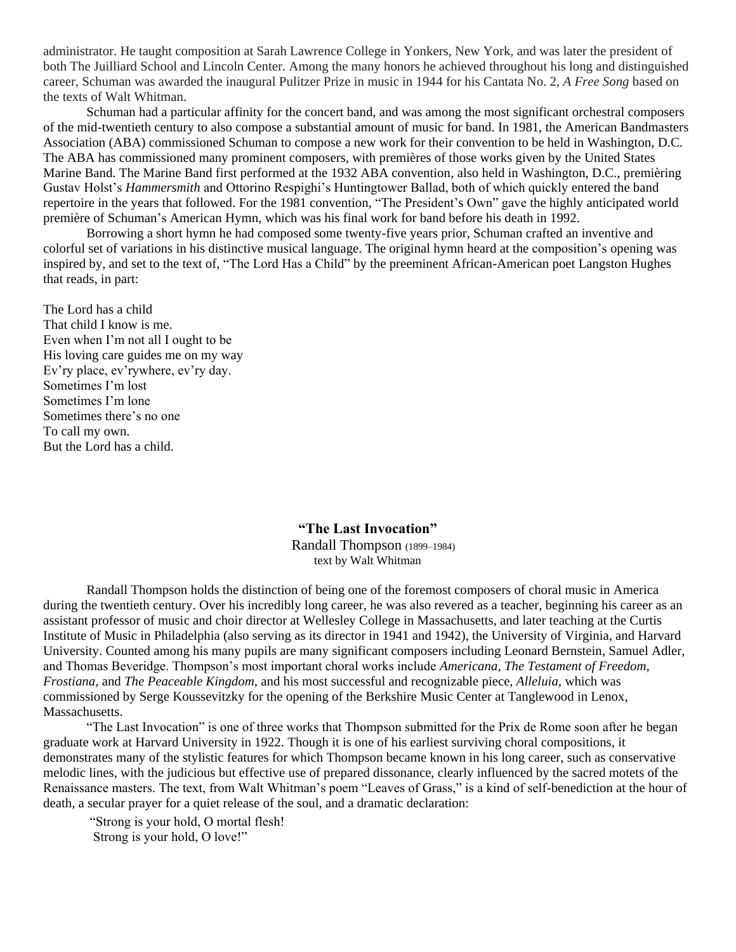administrator. He taught composition at Sarah Lawrence College in Yonkers, New York, and was later the president of both The Juilliard School and Lincoln Center. Among the many honors he achieved throughout his long and distinguished career, Schuman was awarded the inaugural Pulitzer Prize in music in 1944 for his Cantata No. 2, *A Free Song* based on the texts of Walt Whitman.

Schuman had a particular affinity for the concert band, and was among the most significant orchestral composers of the mid-twentieth century to also compose a substantial amount of music for band. In 1981, the American Bandmasters Association (ABA) commissioned Schuman to compose a new work for their convention to be held in Washington, D.C. The ABA has commissioned many prominent composers, with premières of those works given by the United States Marine Band. The Marine Band first performed at the 1932 ABA convention, also held in Washington, D.C., premièring Gustav Holst's *Hammersmith* and Ottorino Respighi's Huntingtower Ballad, both of which quickly entered the band repertoire in the years that followed. For the 1981 convention, "The President's Own" gave the highly anticipated world première of Schuman's American Hymn, which was his final work for band before his death in 1992.

Borrowing a short hymn he had composed some twenty-five years prior, Schuman crafted an inventive and colorful set of variations in his distinctive musical language. The original hymn heard at the composition's opening was inspired by, and set to the text of, "The Lord Has a Child" by the preeminent African-American poet Langston Hughes that reads, in part:

The Lord has a child That child I know is me. Even when I'm not all I ought to be His loving care guides me on my way Ev'ry place, ev'rywhere, ev'ry day. Sometimes I'm lost Sometimes I'm lone Sometimes there's no one To call my own. But the Lord has a child.

> **"The Last Invocation"** Randall Thompson (1899–1984)

text by Walt Whitman

Randall Thompson holds the distinction of being one of the foremost composers of choral music in America during the twentieth century. Over his incredibly long career, he was also revered as a teacher, beginning his career as an assistant professor of music and choir director at Wellesley College in Massachusetts, and later teaching at the Curtis Institute of Music in Philadelphia (also serving as its director in 1941 and 1942), the University of Virginia, and Harvard University. Counted among his many pupils are many significant composers including Leonard Bernstein, Samuel Adler, and Thomas Beveridge. Thompson's most important choral works include *Americana, The Testament of Freedom, Frostiana,* and *The Peaceable Kingdom,* and his most successful and recognizable piece, *Alleluia,* which was commissioned by Serge Koussevitzky for the opening of the Berkshire Music Center at Tanglewood in Lenox, Massachusetts.

"The Last Invocation" is one of three works that Thompson submitted for the Prix de Rome soon after he began graduate work at Harvard University in 1922. Though it is one of his earliest surviving choral compositions, it demonstrates many of the stylistic features for which Thompson became known in his long career, such as conservative melodic lines, with the judicious but effective use of prepared dissonance, clearly influenced by the sacred motets of the Renaissance masters. The text, from Walt Whitman's poem "Leaves of Grass," is a kind of self-benediction at the hour of death, a secular prayer for a quiet release of the soul, and a dramatic declaration:

"Strong is your hold, O mortal flesh! Strong is your hold, O love!"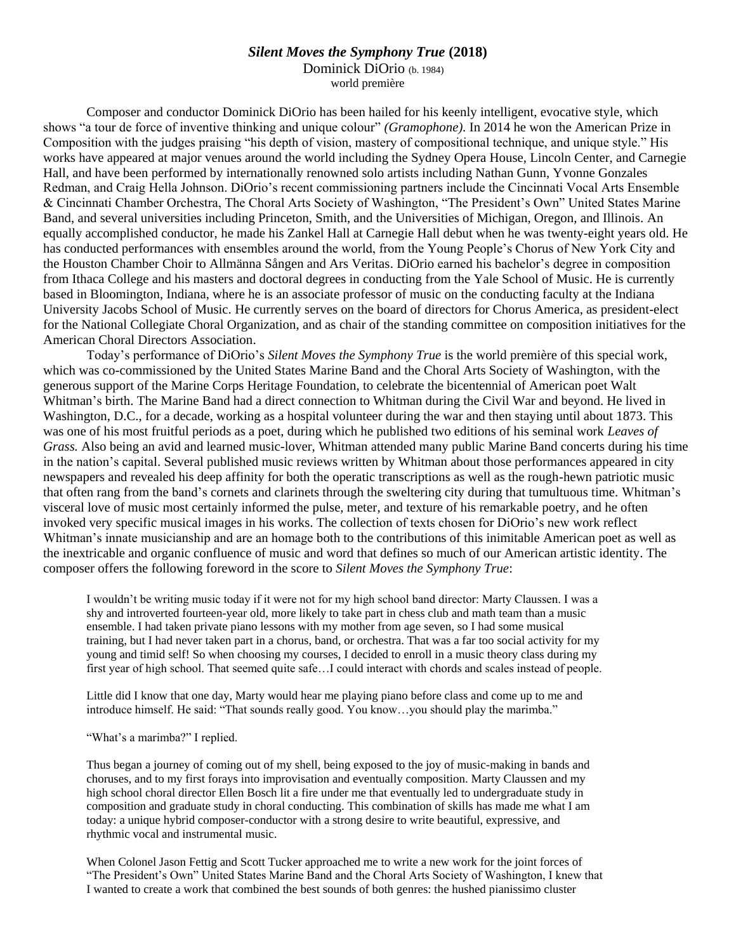## *Silent Moves the Symphony True* **(2018)**

Dominick DiOrio (b. 1984) world première

Composer and conductor Dominick DiOrio has been hailed for his keenly intelligent, evocative style, which shows "a tour de force of inventive thinking and unique colour" *(Gramophone).* In 2014 he won the American Prize in Composition with the judges praising "his depth of vision, mastery of compositional technique, and unique style." His works have appeared at major venues around the world including the Sydney Opera House, Lincoln Center, and Carnegie Hall, and have been performed by internationally renowned solo artists including Nathan Gunn, Yvonne Gonzales Redman, and Craig Hella Johnson. DiOrio's recent commissioning partners include the Cincinnati Vocal Arts Ensemble & Cincinnati Chamber Orchestra, The Choral Arts Society of Washington, "The President's Own" United States Marine Band, and several universities including Princeton, Smith, and the Universities of Michigan, Oregon, and Illinois. An equally accomplished conductor, he made his Zankel Hall at Carnegie Hall debut when he was twenty-eight years old. He has conducted performances with ensembles around the world, from the Young People's Chorus of New York City and the Houston Chamber Choir to Allmänna Sången and Ars Veritas. DiOrio earned his bachelor's degree in composition from Ithaca College and his masters and doctoral degrees in conducting from the Yale School of Music. He is currently based in Bloomington, Indiana, where he is an associate professor of music on the conducting faculty at the Indiana University Jacobs School of Music. He currently serves on the board of directors for Chorus America, as president-elect for the National Collegiate Choral Organization, and as chair of the standing committee on composition initiatives for the American Choral Directors Association.

Today's performance of DiOrio's *Silent Moves the Symphony True* is the world première of this special work, which was co-commissioned by the United States Marine Band and the Choral Arts Society of Washington, with the generous support of the Marine Corps Heritage Foundation, to celebrate the bicentennial of American poet Walt Whitman's birth. The Marine Band had a direct connection to Whitman during the Civil War and beyond. He lived in Washington, D.C., for a decade, working as a hospital volunteer during the war and then staying until about 1873. This was one of his most fruitful periods as a poet, during which he published two editions of his seminal work *Leaves of Grass.* Also being an avid and learned music-lover, Whitman attended many public Marine Band concerts during his time in the nation's capital. Several published music reviews written by Whitman about those performances appeared in city newspapers and revealed his deep affinity for both the operatic transcriptions as well as the rough-hewn patriotic music that often rang from the band's cornets and clarinets through the sweltering city during that tumultuous time. Whitman's visceral love of music most certainly informed the pulse, meter, and texture of his remarkable poetry, and he often invoked very specific musical images in his works. The collection of texts chosen for DiOrio's new work reflect Whitman's innate musicianship and are an homage both to the contributions of this inimitable American poet as well as the inextricable and organic confluence of music and word that defines so much of our American artistic identity. The composer offers the following foreword in the score to *Silent Moves the Symphony True*:

I wouldn't be writing music today if it were not for my high school band director: Marty Claussen. I was a shy and introverted fourteen-year old, more likely to take part in chess club and math team than a music ensemble. I had taken private piano lessons with my mother from age seven, so I had some musical training, but I had never taken part in a chorus, band, or orchestra. That was a far too social activity for my young and timid self! So when choosing my courses, I decided to enroll in a music theory class during my first year of high school. That seemed quite safe…I could interact with chords and scales instead of people.

Little did I know that one day, Marty would hear me playing piano before class and come up to me and introduce himself. He said: "That sounds really good. You know…you should play the marimba."

"What's a marimba?" I replied.

Thus began a journey of coming out of my shell, being exposed to the joy of music-making in bands and choruses, and to my first forays into improvisation and eventually composition. Marty Claussen and my high school choral director Ellen Bosch lit a fire under me that eventually led to undergraduate study in composition and graduate study in choral conducting. This combination of skills has made me what I am today: a unique hybrid composer-conductor with a strong desire to write beautiful, expressive, and rhythmic vocal and instrumental music.

When Colonel Jason Fettig and Scott Tucker approached me to write a new work for the joint forces of "The President's Own" United States Marine Band and the Choral Arts Society of Washington, I knew that I wanted to create a work that combined the best sounds of both genres: the hushed pianissimo cluster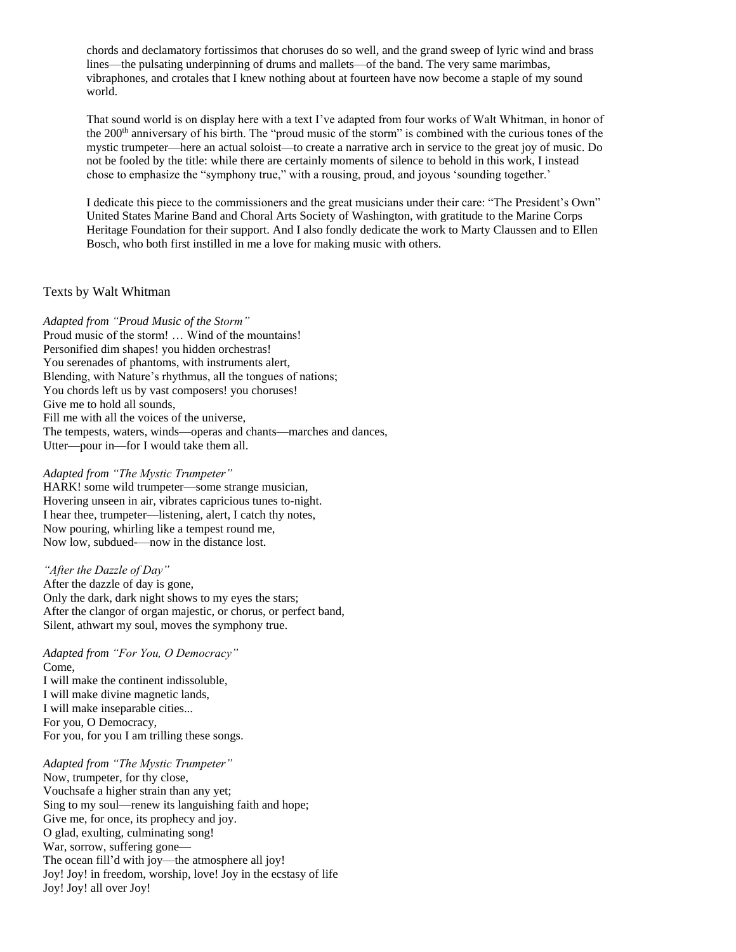chords and declamatory fortissimos that choruses do so well, and the grand sweep of lyric wind and brass lines—the pulsating underpinning of drums and mallets—of the band. The very same marimbas, vibraphones, and crotales that I knew nothing about at fourteen have now become a staple of my sound world.

That sound world is on display here with a text I've adapted from four works of Walt Whitman, in honor of the 200<sup>th</sup> anniversary of his birth. The "proud music of the storm" is combined with the curious tones of the mystic trumpeter—here an actual soloist—to create a narrative arch in service to the great joy of music. Do not be fooled by the title: while there are certainly moments of silence to behold in this work, I instead chose to emphasize the "symphony true," with a rousing, proud, and joyous 'sounding together.'

I dedicate this piece to the commissioners and the great musicians under their care: "The President's Own" United States Marine Band and Choral Arts Society of Washington, with gratitude to the Marine Corps Heritage Foundation for their support. And I also fondly dedicate the work to Marty Claussen and to Ellen Bosch, who both first instilled in me a love for making music with others.

## Texts by Walt Whitman

*Adapted from "Proud Music of the Storm"* Proud music of the storm! … Wind of the mountains! Personified dim shapes! you hidden orchestras! You serenades of phantoms, with instruments alert, Blending, with Nature's rhythmus, all the tongues of nations; You chords left us by vast composers! you choruses! Give me to hold all sounds, Fill me with all the voices of the universe, The tempests, waters, winds—operas and chants—marches and dances, Utter—pour in—for I would take them all.

#### *Adapted from "The Mystic Trumpeter"*

HARK! some wild trumpeter—some strange musician, Hovering unseen in air, vibrates capricious tunes to-night. I hear thee, trumpeter—listening, alert, I catch thy notes, Now pouring, whirling like a tempest round me, Now low, subdued-—now in the distance lost.

*"After the Dazzle of Day"* After the dazzle of day is gone, Only the dark, dark night shows to my eyes the stars; After the clangor of organ majestic, or chorus, or perfect band, Silent, athwart my soul, moves the symphony true.

#### *Adapted from "For You, O Democracy"*  Come,

I will make the continent indissoluble, I will make divine magnetic lands, I will make inseparable cities... For you, O Democracy, For you, for you I am trilling these songs.

## *Adapted from "The Mystic Trumpeter"*

Now, trumpeter, for thy close, Vouchsafe a higher strain than any yet; Sing to my soul—renew its languishing faith and hope; Give me, for once, its prophecy and joy. O glad, exulting, culminating song! War, sorrow, suffering gone— The ocean fill'd with joy—the atmosphere all joy! Joy! Joy! in freedom, worship, love! Joy in the ecstasy of life Joy! Joy! all over Joy!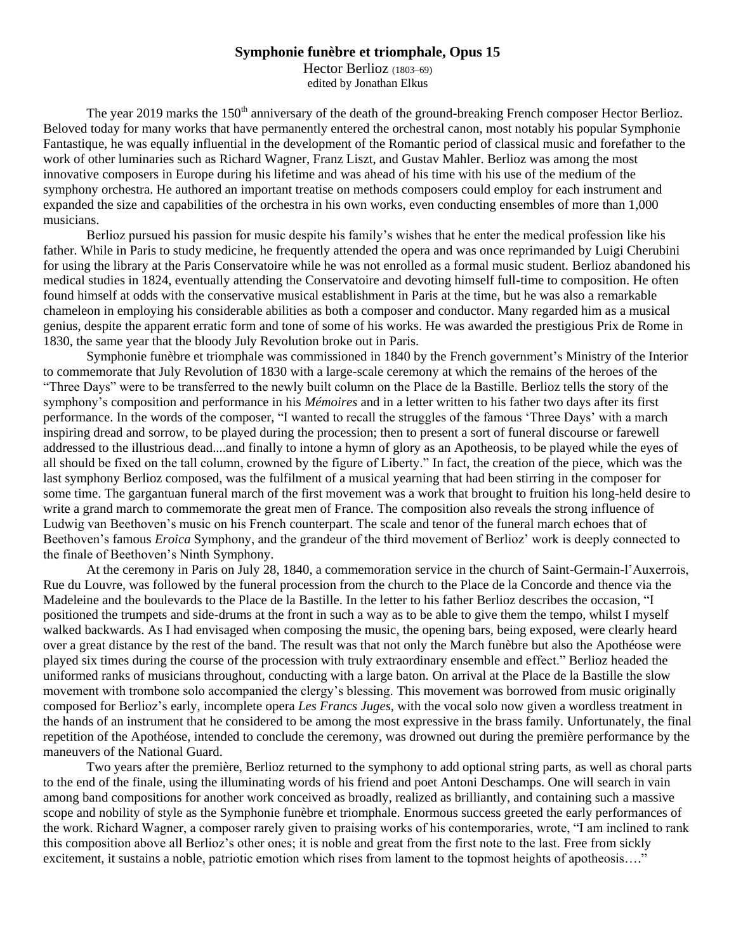## **Symphonie funèbre et triomphale, Opus 15**

Hector Berlioz (1803–69) edited by Jonathan Elkus

The year 2019 marks the 150<sup>th</sup> anniversary of the death of the ground-breaking French composer Hector Berlioz. Beloved today for many works that have permanently entered the orchestral canon, most notably his popular Symphonie Fantastique, he was equally influential in the development of the Romantic period of classical music and forefather to the work of other luminaries such as Richard Wagner, Franz Liszt, and Gustav Mahler. Berlioz was among the most innovative composers in Europe during his lifetime and was ahead of his time with his use of the medium of the symphony orchestra. He authored an important treatise on methods composers could employ for each instrument and expanded the size and capabilities of the orchestra in his own works, even conducting ensembles of more than 1,000 musicians.

Berlioz pursued his passion for music despite his family's wishes that he enter the medical profession like his father. While in Paris to study medicine, he frequently attended the opera and was once reprimanded by Luigi Cherubini for using the library at the Paris Conservatoire while he was not enrolled as a formal music student. Berlioz abandoned his medical studies in 1824, eventually attending the Conservatoire and devoting himself full-time to composition. He often found himself at odds with the conservative musical establishment in Paris at the time, but he was also a remarkable chameleon in employing his considerable abilities as both a composer and conductor. Many regarded him as a musical genius, despite the apparent erratic form and tone of some of his works. He was awarded the prestigious Prix de Rome in 1830, the same year that the bloody July Revolution broke out in Paris.

Symphonie funèbre et triomphale was commissioned in 1840 by the French government's Ministry of the Interior to commemorate that July Revolution of 1830 with a large-scale ceremony at which the remains of the heroes of the "Three Days" were to be transferred to the newly built column on the Place de la Bastille. Berlioz tells the story of the symphony's composition and performance in his *Mémoires* and in a letter written to his father two days after its first performance. In the words of the composer, "I wanted to recall the struggles of the famous 'Three Days' with a march inspiring dread and sorrow, to be played during the procession; then to present a sort of funeral discourse or farewell addressed to the illustrious dead....and finally to intone a hymn of glory as an Apotheosis, to be played while the eyes of all should be fixed on the tall column, crowned by the figure of Liberty." In fact, the creation of the piece, which was the last symphony Berlioz composed, was the fulfilment of a musical yearning that had been stirring in the composer for some time. The gargantuan funeral march of the first movement was a work that brought to fruition his long-held desire to write a grand march to commemorate the great men of France. The composition also reveals the strong influence of Ludwig van Beethoven's music on his French counterpart. The scale and tenor of the funeral march echoes that of Beethoven's famous *Eroica* Symphony, and the grandeur of the third movement of Berlioz' work is deeply connected to the finale of Beethoven's Ninth Symphony.

At the ceremony in Paris on July 28, 1840, a commemoration service in the church of Saint-Germain-l'Auxerrois, Rue du Louvre, was followed by the funeral procession from the church to the Place de la Concorde and thence via the Madeleine and the boulevards to the Place de la Bastille. In the letter to his father Berlioz describes the occasion, "I positioned the trumpets and side-drums at the front in such a way as to be able to give them the tempo, whilst I myself walked backwards. As I had envisaged when composing the music, the opening bars, being exposed, were clearly heard over a great distance by the rest of the band. The result was that not only the March funèbre but also the Apothéose were played six times during the course of the procession with truly extraordinary ensemble and effect." Berlioz headed the uniformed ranks of musicians throughout, conducting with a large baton. On arrival at the Place de la Bastille the slow movement with trombone solo accompanied the clergy's blessing. This movement was borrowed from music originally composed for Berlioz's early, incomplete opera *Les Francs Juges,* with the vocal solo now given a wordless treatment in the hands of an instrument that he considered to be among the most expressive in the brass family. Unfortunately, the final repetition of the Apothéose, intended to conclude the ceremony, was drowned out during the première performance by the maneuvers of the National Guard.

Two years after the première, Berlioz returned to the symphony to add optional string parts, as well as choral parts to the end of the finale, using the illuminating words of his friend and poet Antoni Deschamps. One will search in vain among band compositions for another work conceived as broadly, realized as brilliantly, and containing such a massive scope and nobility of style as the Symphonie funèbre et triomphale. Enormous success greeted the early performances of the work. Richard Wagner, a composer rarely given to praising works of his contemporaries, wrote, "I am inclined to rank this composition above all Berlioz's other ones; it is noble and great from the first note to the last. Free from sickly excitement, it sustains a noble, patriotic emotion which rises from lament to the topmost heights of apotheosis...."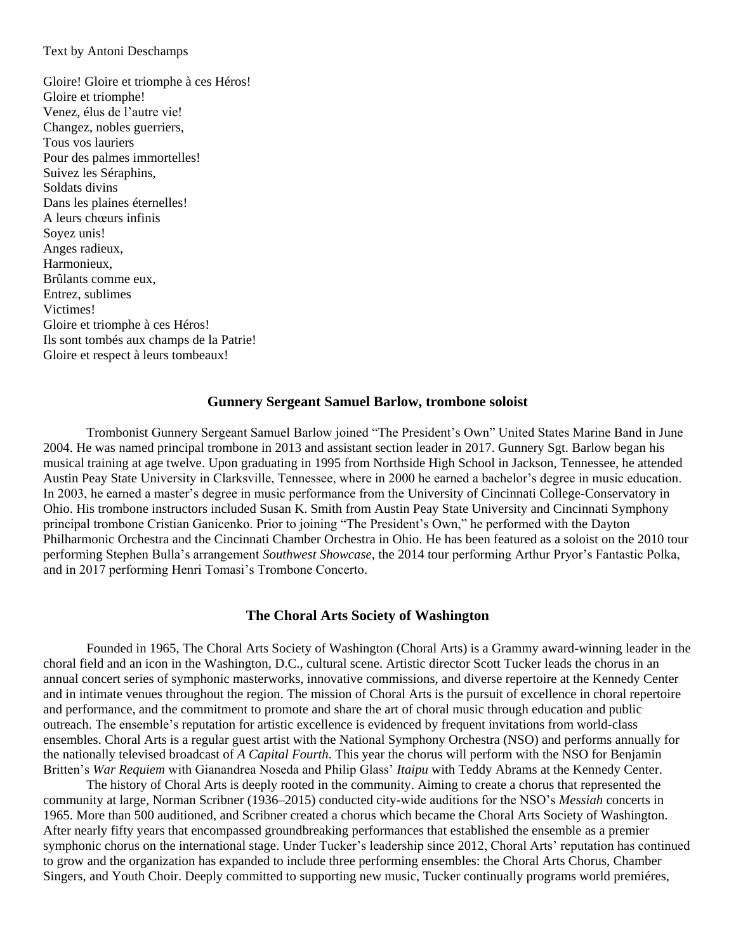## Text by Antoni Deschamps

Gloire! Gloire et triomphe à ces Héros! Gloire et triomphe! Venez, élus de l'autre vie! Changez, nobles guerriers, Tous vos lauriers Pour des palmes immortelles! Suivez les Séraphins, Soldats divins Dans les plaines éternelles! A leurs chœurs infinis Soyez unis! Anges radieux, Harmonieux, Brûlants comme eux, Entrez, sublimes Victimes! Gloire et triomphe à ces Héros! Ils sont tombés aux champs de la Patrie! Gloire et respect à leurs tombeaux!

## **Gunnery Sergeant Samuel Barlow, trombone soloist**

Trombonist Gunnery Sergeant Samuel Barlow joined "The President's Own" United States Marine Band in June 2004. He was named principal trombone in 2013 and assistant section leader in 2017. Gunnery Sgt. Barlow began his musical training at age twelve. Upon graduating in 1995 from Northside High School in Jackson, Tennessee, he attended Austin Peay State University in Clarksville, Tennessee, where in 2000 he earned a bachelor's degree in music education. In 2003, he earned a master's degree in music performance from the University of Cincinnati College-Conservatory in Ohio. His trombone instructors included Susan K. Smith from Austin Peay State University and Cincinnati Symphony principal trombone Cristian Ganicenko. Prior to joining "The President's Own," he performed with the Dayton Philharmonic Orchestra and the Cincinnati Chamber Orchestra in Ohio. He has been featured as a soloist on the 2010 tour performing Stephen Bulla's arrangement *Southwest Showcase,* the 2014 tour performing Arthur Pryor's Fantastic Polka, and in 2017 performing Henri Tomasi's Trombone Concerto.

## **The Choral Arts Society of Washington**

Founded in 1965, The Choral Arts Society of Washington (Choral Arts) is a Grammy award-winning leader in the choral field and an icon in the Washington, D.C., cultural scene. Artistic director Scott Tucker leads the chorus in an annual concert series of symphonic masterworks, innovative commissions, and diverse repertoire at the Kennedy Center and in intimate venues throughout the region. The mission of Choral Arts is the pursuit of excellence in choral repertoire and performance, and the commitment to promote and share the art of choral music through education and public outreach. The ensemble's reputation for artistic excellence is evidenced by frequent invitations from world-class ensembles. Choral Arts is a regular guest artist with the National Symphony Orchestra (NSO) and performs annually for the nationally televised broadcast of *A Capital Fourth*. This year the chorus will perform with the NSO for Benjamin Britten's *War Requiem* with Gianandrea Noseda and Philip Glass' *Itaipu* with Teddy Abrams at the Kennedy Center.

The history of Choral Arts is deeply rooted in the community. Aiming to create a chorus that represented the community at large, Norman Scribner (1936–2015) conducted city-wide auditions for the NSO's *Messiah* concerts in 1965. More than 500 auditioned, and Scribner created a chorus which became the Choral Arts Society of Washington. After nearly fifty years that encompassed groundbreaking performances that established the ensemble as a premier symphonic chorus on the international stage. Under Tucker's leadership since 2012, Choral Arts' reputation has continued to grow and the organization has expanded to include three performing ensembles: the Choral Arts Chorus, Chamber Singers, and Youth Choir. Deeply committed to supporting new music, Tucker continually programs world premiéres,